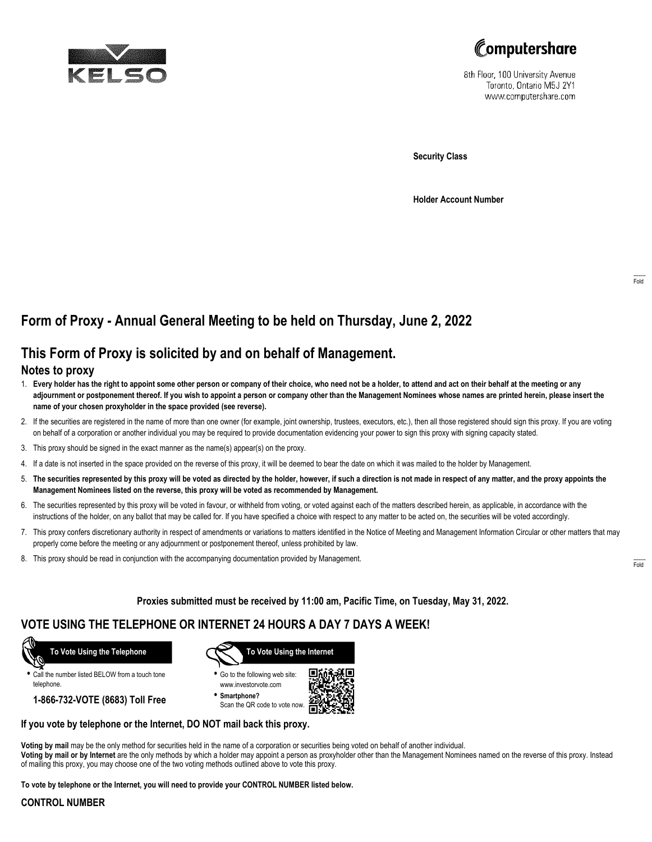



8th Floor, 100 University Avenue Toronto, Ontario M5J 2Y1 www.computershare.com

**Security Class**

**Holder Account Number**

## **Form of Proxy - Annual General Meeting to be held on Thursday, June 2, 2022**

# **This Form of Proxy is solicited by and on behalf of Management.**

### **Notes to proxy**

- 1. **Every holder has the right to appoint some other person or company of their choice, who need not be a holder, to attend and act on their behalf at the meeting or any adjournment or postponement thereof. If you wish to appoint a person or company other than the Management Nominees whose names are printed herein, please insert the name of your chosen proxyholder in the space provided (see reverse).**
- 2. If the securities are registered in the name of more than one owner (for example, joint ownership, trustees, executors, etc.), then all those registered should sign this proxy. If you are voting on behalf of a corporation or another individual you may be required to provide documentation evidencing your power to sign this proxy with signing capacity stated.
- 3. This proxy should be signed in the exact manner as the name(s) appear(s) on the proxy.
- 4. If a date is not inserted in the space provided on the reverse of this proxy, it will be deemed to bear the date on which it was mailed to the holder by Management.
- 5. **The securities represented by this proxy will be voted as directed by the holder, however, if such a direction is not made in respect of any matter, and the proxy appoints the Management Nominees listed on the reverse, this proxy will be voted as recommended by Management.**
- 6. The securities represented by this proxy will be voted in favour, or withheld from voting, or voted against each of the matters described herein, as applicable, in accordance with the instructions of the holder, on any ballot that may be called for. If you have specified a choice with respect to any matter to be acted on, the securities will be voted accordingly.
- 7. This proxy confers discretionary authority in respect of amendments or variations to matters identified in the Notice of Meeting and Management Information Circular or other matters that may properly come before the meeting or any adjournment or postponement thereof, unless prohibited by law.
- 8. This proxy should be read in conjunction with the accompanying documentation provided by Management.

**Proxies submitted must be received by 11:00 am, Pacific Time, on Tuesday, May 31, 2022.**

## **VOTE USING THE TELEPHONE OR INTERNET 24 HOURS A DAY 7 DAYS A WEEK!**



**•** Call the number listed BELOW from a touch tone telephone.

**1-866-732-VOTE (8683) Toll Free**



**•** Go to the following web site: www.investorvote.com

**• Smartphone?** Scan the QR code to vote now.



### **If you vote by telephone or the Internet, DO NOT mail back this proxy.**

**Voting by mail** may be the only method for securities held in the name of a corporation or securities being voted on behalf of another individual. **Voting by mail or by Internet** are the only methods by which a holder may appoint a person as proxyholder other than the Management Nominees named on the reverse of this proxy. Instead of mailing this proxy, you may choose one of the two voting methods outlined above to vote this proxy.

**To vote by telephone or the Internet, you will need to provide your CONTROL NUMBER listed below.**

#### **CONTROL NUMBER**